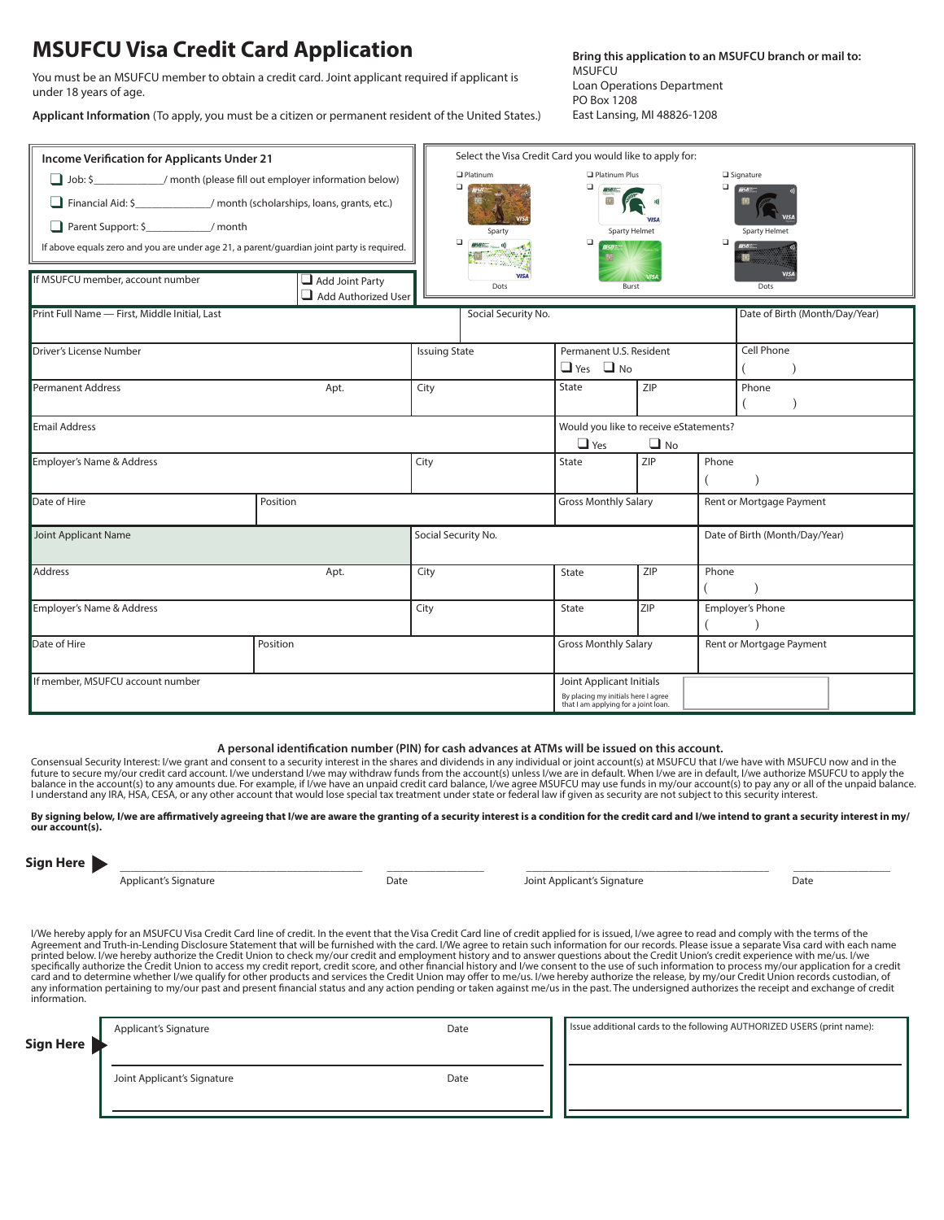# **MSUFCU Visa Credit Card Application**<br>Bring this application to an MSUFCU branch or mail to:

**MSUFCU** Loan Operations Department PO Box 1208 East Lansing, MI 48826-1208

You must be an MSUFCU member to obtain a credit card. Joint applicant required if applicant is under 18 years of age.

**Applicant Information** (To apply, you must be a citizen or permanent resident of the United States.)

| Income Verification for Applicants Under 21                                               |                                               |                      | Select the Visa Credit Card you would like to apply for: |                                                                             |             |                                          |
|-------------------------------------------------------------------------------------------|-----------------------------------------------|----------------------|----------------------------------------------------------|-----------------------------------------------------------------------------|-------------|------------------------------------------|
| Job: \$ _______________/ month (please fill out employer information below)               |                                               |                      | $\Box$ Platinum<br>o                                     | Platinum Plus<br>$\Box$                                                     |             | Signature<br>$\Box$<br>$\overline{m}$ 50 |
| Financial Aid: \$______________/ month (scholarships, loans, grants, etc.)                |                                               |                      |                                                          |                                                                             |             |                                          |
| Parent Support: \$____________/ month                                                     |                                               |                      | Sparty                                                   | Sparty Helmet                                                               | <b>VISA</b> | Sparty Helmet                            |
| If above equals zero and you are under age 21, a parent/quardian joint party is required. |                                               |                      | o<br>$MBHE = 0$                                          | ο                                                                           |             | о                                        |
| If MSUFCU member, account number                                                          | $\Box$ Add Joint Party<br>Add Authorized User |                      | <b>VISA</b><br>Dots                                      | Burst                                                                       |             | Dots                                     |
| Print Full Name - First, Middle Initial, Last                                             |                                               |                      | Social Security No.                                      |                                                                             |             | Date of Birth (Month/Day/Year)           |
| Driver's License Number                                                                   |                                               | <b>Issuing State</b> |                                                          | Permanent U.S. Resident                                                     |             | <b>Cell Phone</b>                        |
|                                                                                           |                                               |                      |                                                          | $\Box$ Yes $\Box$ No                                                        |             |                                          |
| Permanent Address                                                                         | Apt.                                          | City                 |                                                          | State                                                                       | ZIP         | Phone                                    |
|                                                                                           |                                               |                      |                                                          |                                                                             |             |                                          |
| Email Address                                                                             |                                               |                      |                                                          | Would you like to receive eStatements?<br>$\Box$ Yes                        | $\Box$ No   |                                          |
| Employer's Name & Address                                                                 |                                               | City                 |                                                          | State                                                                       | ZIP         | Phone                                    |
| Date of Hire                                                                              | Position                                      |                      |                                                          | <b>Gross Monthly Salary</b>                                                 |             | Rent or Mortgage Payment                 |
| Joint Applicant Name                                                                      |                                               | Social Security No.  |                                                          |                                                                             |             | Date of Birth (Month/Day/Year)           |
| Address                                                                                   | Apt.                                          | City                 |                                                          | State                                                                       | ZIP         | Phone                                    |
| Employer's Name & Address                                                                 |                                               | City                 |                                                          | <b>State</b>                                                                | <b>ZIP</b>  | <b>Employer's Phone</b>                  |
| Date of Hire                                                                              | Position                                      |                      |                                                          | <b>Gross Monthly Salary</b>                                                 |             | Rent or Mortgage Payment                 |
| If member, MSUFCU account number                                                          |                                               |                      |                                                          | Joint Applicant Initials                                                    |             |                                          |
|                                                                                           |                                               |                      |                                                          | By placing my initials here I agree<br>that I am applying for a joint loan. |             |                                          |

#### **A personal identification number (PIN) for cash advances at ATMs will be issued on this account.**

Consensual Security Interest: I/we grant and consent to a security interest in the shares and dividends in any individual or joint account(s) at MSUFCU that I/we have with MSUFCU now and in the<br>future to secure my/our cred balance in the account(s) to any amounts due. For example, if I/we have an unpaid credit card balance, I/we agree MSUFCU may use funds in my/our account(s) to pay any or all of the unpaid balance.<br>I understand any IRA, HSA

**By signing below, I/we are affirmatively agreeing that I/we are aware the granting of a security interest is a condition for the credit card and I/we intend to grant a security interest in my/ our account(s).**

| Sign Her |  |
|----------|--|
|          |  |

\_\_\_\_\_\_\_\_\_\_\_\_\_\_\_\_\_\_\_\_\_\_\_\_\_\_\_\_\_\_\_\_\_\_\_\_\_\_\_\_\_\_\_\_\_ \_\_\_\_\_\_\_\_\_\_\_\_\_\_\_\_\_\_ \_\_\_\_\_\_\_\_\_\_\_\_\_\_\_\_\_\_\_\_\_\_\_\_\_\_\_\_\_\_\_\_\_\_\_\_\_\_\_\_\_\_\_\_\_ \_\_\_\_\_\_\_\_\_\_\_\_\_\_\_\_\_\_

Applicant's Signature **Community Community** Date Date Joint Applicant's Signature Date Date

I/We hereby apply for an MSUFCU Visa Credit Card line of credit. In the event that the Visa Credit Card line of credit applied for is issued, I/we agree to read and comply with the terms of the<br>Agreement and Truth-in-Lendi specifically authorize the Credit Union to access my credit report, credit score, and other financial history and I/we consent to the use of such information to process my/our application for a credit card and to determine whether I/we qualify for other products and services the Credit Union may offer to me/us. I/we hereby authorize the release, by my/our Credit Union records custodian, of<br>any information pertaining to information.

| <b>Sign Here</b> | Applicant's Signature       | Date | Issue additional cards to the following AUTHORIZED USERS (print name): |
|------------------|-----------------------------|------|------------------------------------------------------------------------|
|                  | Joint Applicant's Signature | Date |                                                                        |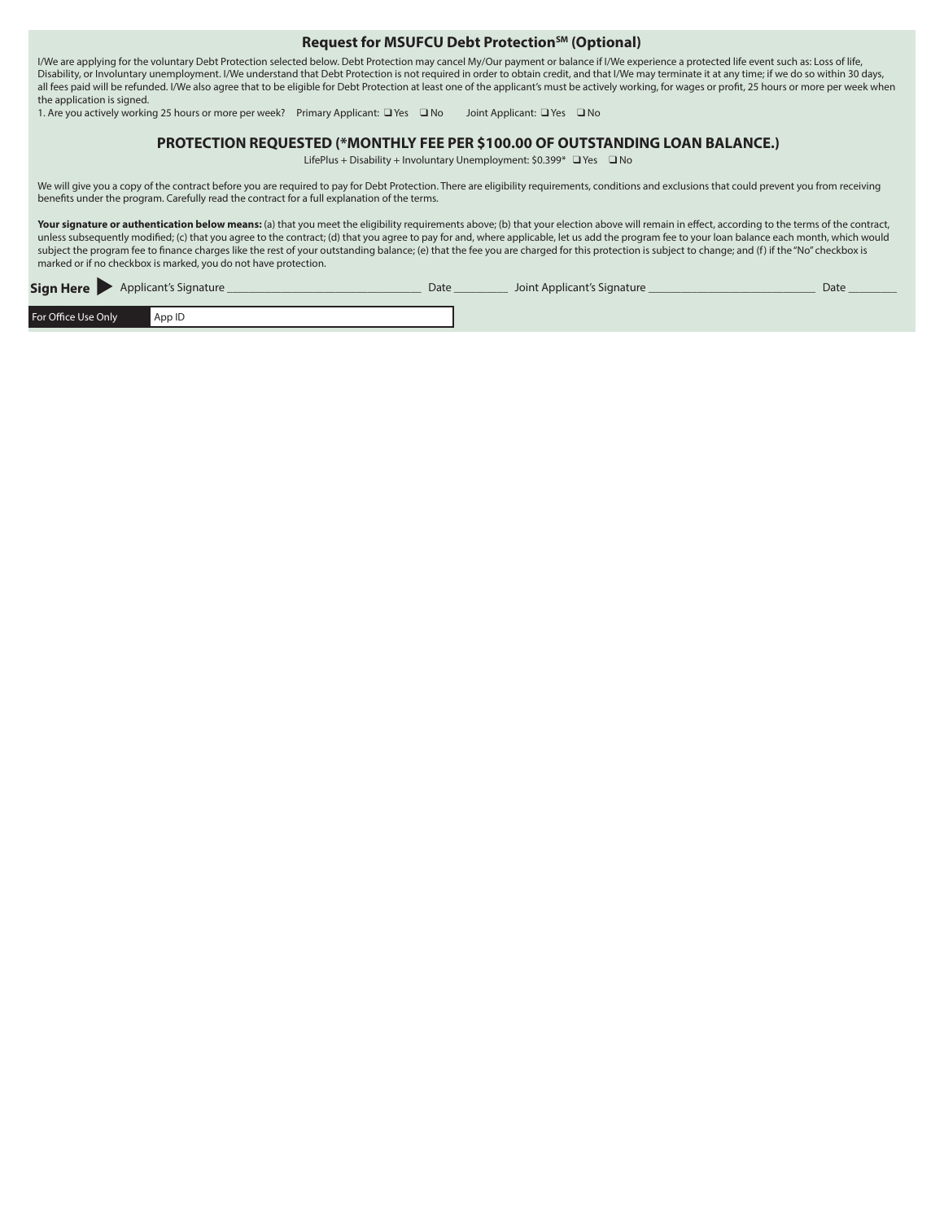#### Request for MSUFCU Debt Protection<sup>SM</sup> (Optional)

I/We are applying for the voluntary Debt Protection selected below. Debt Protection may cancel My/Our payment or balance if I/We experience a protected life event such as: Loss of life, Disability, or Involuntary unemployment. I/We understand that Debt Protection is not required in order to obtain credit, and that I/We may terminate it at any time; if we do so within 30 days, all fees paid will be refunded. I/We also agree that to be eligible for Debt Protection at least one of the applicant's must be actively working, for wages or profit, 25 hours or more per week when the application is signed.

1. Are you actively working 25 hours or more per week? Primary Applicant: ❑ Yes ❑ No Joint Applicant: ❑ Yes ❑ No

#### **PROTECTION REQUESTED (\*MONTHLY FEE PER \$100.00 OF OUTSTANDING LOAN BALANCE.)**

LifePlus + Disability + Involuntary Unemployment: \$0.399\* ❑ Yes ❑ No

We will give you a copy of the contract before you are required to pay for Debt Protection. There are eligibility requirements, conditions and exclusions that could prevent you from receiving benefits under the program. Carefully read the contract for a full explanation of the terms.

Your signature or authentication below means: (a) that you meet the eligibility requirements above; (b) that your election above will remain in effect, according to the terms of the contract, unless subsequently modified; (c) that you agree to the contract; (d) that you agree to pay for and, where applicable, let us add the program fee to your loan balance each month, which would subject the program fee to finance charges like the rest of your outstanding balance; (e) that the fee you are charged for this protection is subject to change; and (f) if the "No" checkbox is marked or if no checkbox is marked, you do not have protection.

| Sign Here           | Applicant's Signature | Date | Joint Applicant's Signature | Date |
|---------------------|-----------------------|------|-----------------------------|------|
| For Office Use Only | App ID                |      |                             |      |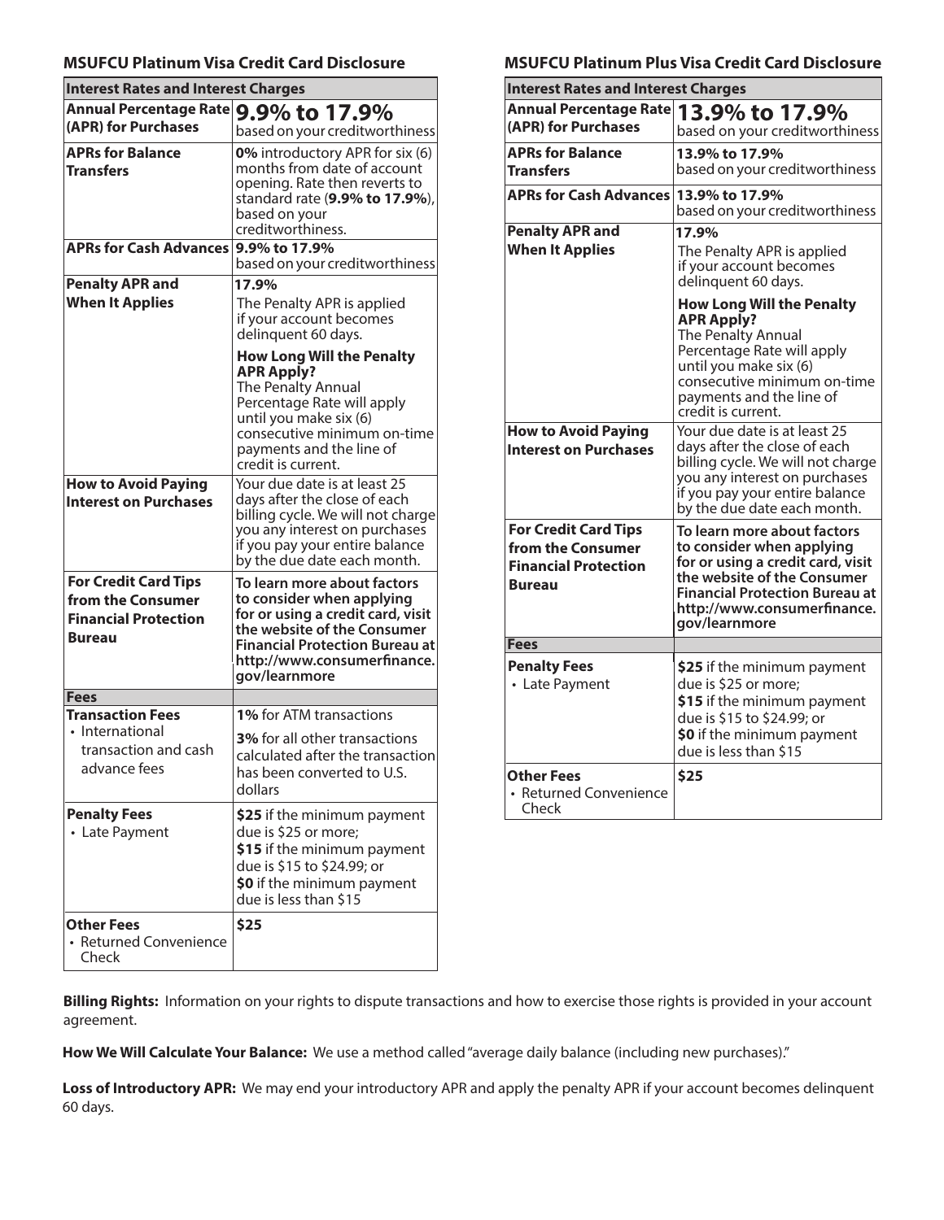## **MSUFCU Platinum Visa Credit Card Disclosure**

| <b>Interest Rates and Interest Charges</b>                                                       |                                                                                                                                                                                                                       |  |  |  |
|--------------------------------------------------------------------------------------------------|-----------------------------------------------------------------------------------------------------------------------------------------------------------------------------------------------------------------------|--|--|--|
| Annual Percentage Rate                                                                           | 9.9% to 17.9%                                                                                                                                                                                                         |  |  |  |
| (APR) for Purchases                                                                              | based on your creditworthiness                                                                                                                                                                                        |  |  |  |
| <b>APRs for Balance</b><br><b>Transfers</b>                                                      | 0% introductory APR for six (6)<br>months from date of account<br>opening. Rate then reverts to<br>standard rate (9.9% to 17.9%),<br>based on your<br>creditworthiness.                                               |  |  |  |
| <b>APRs for Cash Advances</b>                                                                    | 9.9% to 17.9%                                                                                                                                                                                                         |  |  |  |
|                                                                                                  | based on your creditworthiness                                                                                                                                                                                        |  |  |  |
| <b>Penalty APR and</b><br><b>When It Applies</b>                                                 | 17.9%<br>The Penalty APR is applied<br>if your account becomes<br>delinquent 60 days.                                                                                                                                 |  |  |  |
|                                                                                                  | <b>How Long Will the Penalty</b><br><b>APR Apply?</b><br>The Penalty Annual<br>Percentage Rate will apply<br>until you make six (6)<br>consecutive minimum on-time<br>payments and the line of<br>credit is current.  |  |  |  |
| <b>How to Avoid Paying</b><br><b>Interest on Purchases</b>                                       | Your due date is at least 25<br>days after the close of each<br>billing cycle. We will not charge<br>you any interest on purchases<br>if you pay your entire balance<br>by the due date each month.                   |  |  |  |
| <b>For Credit Card Tips</b><br>from the Consumer<br><b>Financial Protection</b><br><b>Bureau</b> | To learn more about factors<br>to consider when applying<br>for or using a credit card, visit<br>the website of the Consumer<br><b>Financial Protection Bureau at</b><br>http://www.consumerfinance.<br>gov/learnmore |  |  |  |
| <b>Fees</b>                                                                                      |                                                                                                                                                                                                                       |  |  |  |
| <b>Transaction Fees</b>                                                                          | 1% for ATM transactions                                                                                                                                                                                               |  |  |  |
| • International<br>transaction and cash<br>advance fees                                          | 3% for all other transactions<br>calculated after the transaction<br>has been converted to U.S.<br>dollars                                                                                                            |  |  |  |
| <b>Penalty Fees</b><br>• Late Payment                                                            | \$25 if the minimum payment<br>due is \$25 or more;<br>\$15 if the minimum payment<br>due is \$15 to \$24.99; or<br>\$0 if the minimum payment<br>due is less than \$15                                               |  |  |  |
| <b>Other Fees</b><br>• Returned Convenience<br>Check                                             | \$25                                                                                                                                                                                                                  |  |  |  |

# **MSUFCU Platinum Plus Visa Credit Card Disclosure**

| <b>Interest Rates and Interest Charges</b>                                                       |                                                                                                                                                                                                                             |
|--------------------------------------------------------------------------------------------------|-----------------------------------------------------------------------------------------------------------------------------------------------------------------------------------------------------------------------------|
| <b>Annual Percentage Rate</b><br>(APR) for Purchases                                             | 13.9% to 17.9%<br>based on your creditworthiness                                                                                                                                                                            |
| <b>APRs for Balance</b><br><b>Transfers</b>                                                      | 13.9% to 17.9%<br>based on your creditworthiness                                                                                                                                                                            |
| <b>APRs for Cash Advances</b>                                                                    | 13.9% to 17.9%<br>based on your creditworthiness                                                                                                                                                                            |
| <b>Penalty APR and</b><br><b>When It Applies</b>                                                 | 17.9%<br>The Penalty APR is applied<br>if your account becomes<br>delinquent 60 days.                                                                                                                                       |
|                                                                                                  | <b>How Long Will the Penalty</b><br><b>APR Apply?</b><br><b>The Penalty Annual</b><br>Percentage Rate will apply<br>until you make six (6)<br>consecutive minimum on-time<br>payments and the line of<br>credit is current. |
| <b>How to Avoid Paying</b><br><b>Interest on Purchases</b>                                       | Your due date is at least 25<br>days after the close of each<br>billing cycle. We will not charge<br>you any interest on purchases<br>if you pay your entire balance<br>by the due date each month.                         |
| <b>For Credit Card Tips</b><br>from the Consumer<br><b>Financial Protection</b><br><b>Bureau</b> | To learn more about factors<br>to consider when applying<br>for or using a credit card, visit<br>the website of the Consumer<br><b>Financial Protection Bureau at</b><br>http://www.consumerfinance.<br>qov/learnmore       |
| <b>Fees</b>                                                                                      |                                                                                                                                                                                                                             |
| <b>Penalty Fees</b><br>• Late Payment                                                            | \$25 if the minimum payment<br>due is \$25 or more;<br>\$15 if the minimum payment<br>due is \$15 to \$24.99; or<br>\$0 if the minimum payment<br>due is less than \$15                                                     |
| <b>Other Fees</b><br>• Returned Convenience<br>Check                                             | \$25                                                                                                                                                                                                                        |

**Billing Rights:** Information on your rights to dispute transactions and how to exercise those rights is provided in your account agreement.

**How We Will Calculate Your Balance:** We use a method called "average daily balance (including new purchases)."

Loss of Introductory APR: We may end your introductory APR and apply the penalty APR if your account becomes delinquent 60 days.